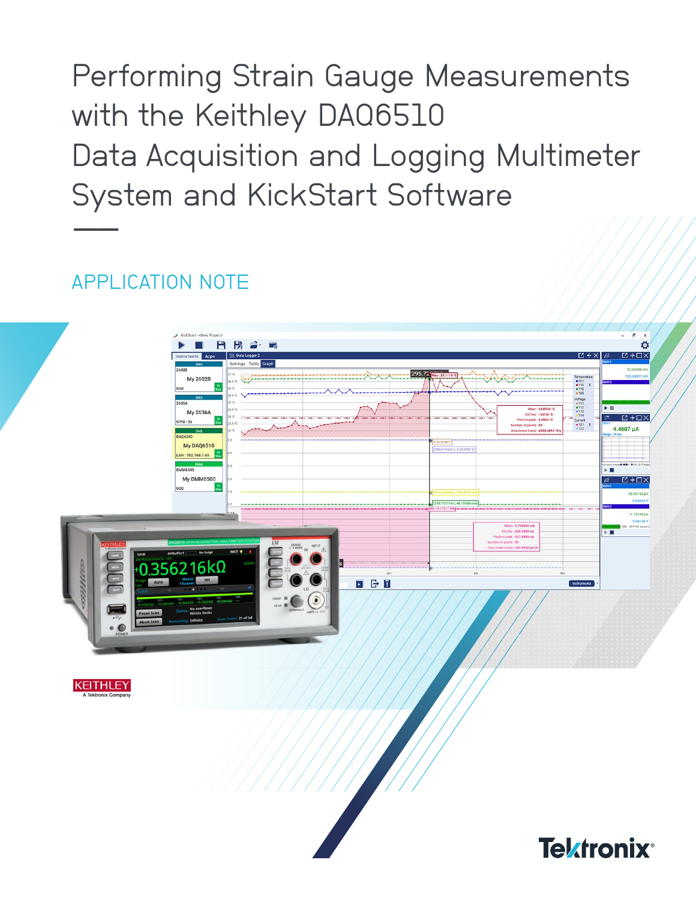**Performing Strain Gauge Measurements** with the Keithley DA06510 Data Acquisition and Logging Multimeter System and KickStart Software

# **APPI ICATION NOTE**



**KEITHLEY** 

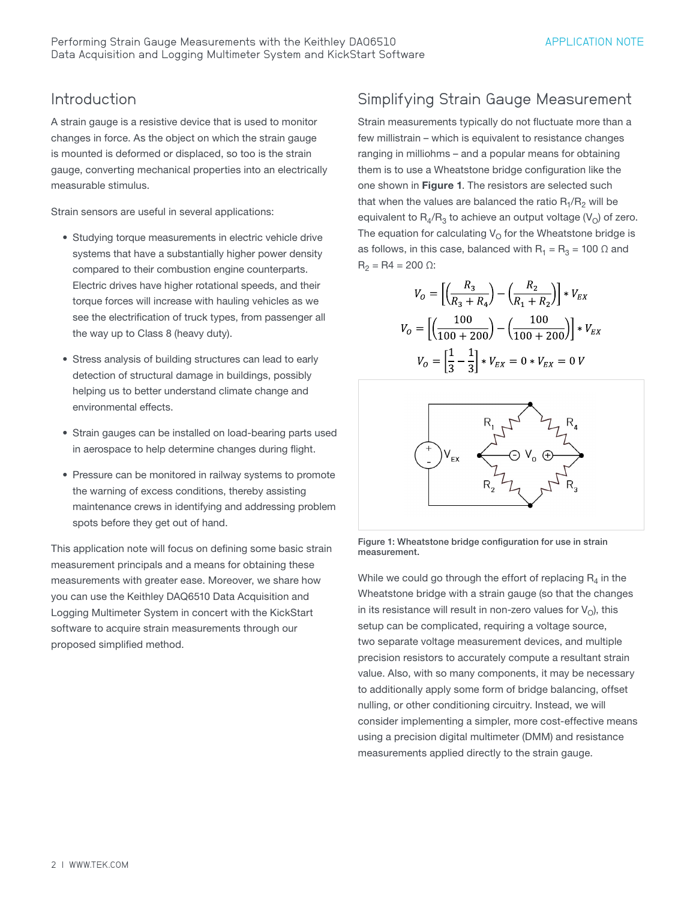#### Introduction

A strain gauge is a resistive device that is used to monitor changes in force. As the object on which the strain gauge is mounted is deformed or displaced, so too is the strain gauge, converting mechanical properties into an electrically measurable stimulus.

Strain sensors are useful in several applications:

- Studying torque measurements in electric vehicle drive systems that have a substantially higher power density compared to their combustion engine counterparts. Electric drives have higher rotational speeds, and their torque forces will increase with hauling vehicles as we see the electrification of truck types, from passenger all the way up to Class 8 (heavy duty).
- Stress analysis of building structures can lead to early detection of structural damage in buildings, possibly helping us to better understand climate change and environmental effects.
- Strain gauges can be installed on load-bearing parts used in aerospace to help determine changes during flight.
- Pressure can be monitored in railway systems to promote the warning of excess conditions, thereby assisting maintenance crews in identifying and addressing problem spots before they get out of hand.

This application note will focus on defining some basic strain measurement principals and a means for obtaining these measurements with greater ease. Moreover, we share how you can use the Keithley DAQ6510 Data Acquisition and Logging Multimeter System in concert with the KickStart software to acquire strain measurements through our proposed simplified method.

## Simplifying Strain Gauge Measurement

Strain measurements typically do not fluctuate more than a few millistrain – which is equivalent to resistance changes ranging in milliohms – and a popular means for obtaining them is to use a Wheatstone bridge configuration like the one shown in Figure 1. The resistors are selected such that when the values are balanced the ratio  $R_1/R_2$  will be equivalent to  $R_4/R_3$  to achieve an output voltage (V<sub>O</sub>) of zero. The equation for calculating  $V_{\Omega}$  for the Wheatstone bridge is as follows, in this case, balanced with  $R_1 = R_3 = 100 \Omega$  and  $R_2 = R4 = 200 \Omega$ :

$$
V_O = \left[ \left( \frac{R_3}{R_3 + R_4} \right) - \left( \frac{R_2}{R_1 + R_2} \right) \right] * V_{EX}
$$

$$
V_O = \left[ \left( \frac{100}{100 + 200} \right) - \left( \frac{100}{100 + 200} \right) \right] * V_{EX}
$$

$$
V_O = \left[ \frac{1}{3} - \frac{1}{3} \right] * V_{EX} = 0 * V_{EX} = 0 V
$$



Figure 1: Wheatstone bridge configuration for use in strain measurement.

While we could go through the effort of replacing  $R_4$  in the Wheatstone bridge with a strain gauge (so that the changes in its resistance will result in non-zero values for  $V<sub>O</sub>$ ), this setup can be complicated, requiring a voltage source, two separate voltage measurement devices, and multiple precision resistors to accurately compute a resultant strain value. Also, with so many components, it may be necessary to additionally apply some form of bridge balancing, offset nulling, or other conditioning circuitry. Instead, we will consider implementing a simpler, more cost-effective means using a precision digital multimeter (DMM) and resistance measurements applied directly to the strain gauge.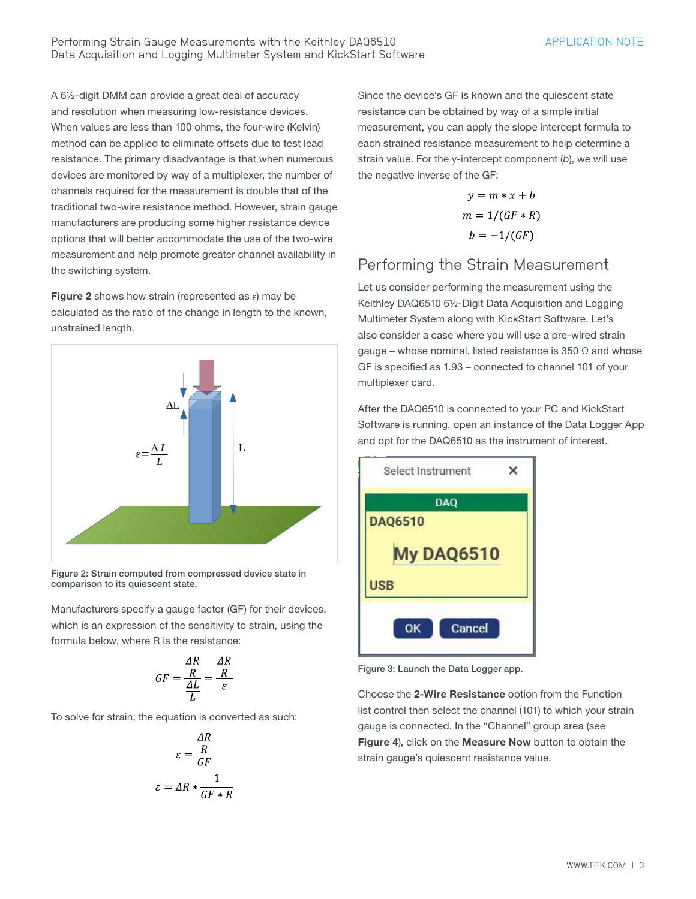A 6½-digit DMM can provide a great deal of accuracy and resolution when measuring low-resistance devices. When values are less than 100 ohms, the four-wire (Kelvin) method can be applied to eliminate offsets due to test lead resistance. The primary disadvantage is that when numerous devices are monitored by way of a multiplexer, the number of channels required for the measurement is double that of the traditional two-wire resistance method. However, strain gauge manufacturers are producing some higher resistance device options that will better accommodate the use of the two-wire measurement and help promote greater channel availability in the switching system.

Figure 2 shows how strain (represented as  $\varepsilon$ ) may be calculated as the ratio of the change in length to the known, unstrained length.



Figure 2: Strain computed from compressed device state in comparison to its quiescent state.

Manufacturers specify a gauge factor (GF) for their devices, which is an expression of the sensitivity to strain, using the formula below, where R is the resistance:

$$
GF = \frac{\frac{\Delta R}{R}}{\frac{\Delta L}{L}} = \frac{\frac{\Delta R}{R}}{\varepsilon}
$$

To solve for strain, the equation is converted as such:

$$
\varepsilon = \frac{\frac{AR}{R}}{GF}
$$

$$
\varepsilon = AR * \frac{1}{GF * R}
$$

Since the device's GF is known and the quiescent state resistance can be obtained by way of a simple initial measurement, you can apply the slope intercept formula to each strained resistance measurement to help determine a strain value. For the y-intercept component (*b*), we will use the negative inverse of the GF:

$$
y = m * x + b
$$

$$
m = 1/(GF * R)
$$

$$
b = -1/(GF)
$$

### Performing the Strain Measurement

Let us consider performing the measurement using the Keithley DAQ6510 6½-Digit Data Acquisition and Logging Multimeter System along with KickStart Software. Let's also consider a case where you will use a pre-wired strain gauge – whose nominal, listed resistance is 350  $\Omega$  and whose GF is specified as 1.93 – connected to channel 101 of your multiplexer card.

After the DAQ6510 is connected to your PC and KickStart Software is running, open an instance of the Data Logger App and opt for the DAQ6510 as the instrument of interest.



Figure 3: Launch the Data Logger app.

Choose the 2-Wire Resistance option from the Function list control then select the channel (101) to which your strain gauge is connected. In the "Channel" group area (see Figure 4), click on the Measure Now button to obtain the strain gauge's quiescent resistance value.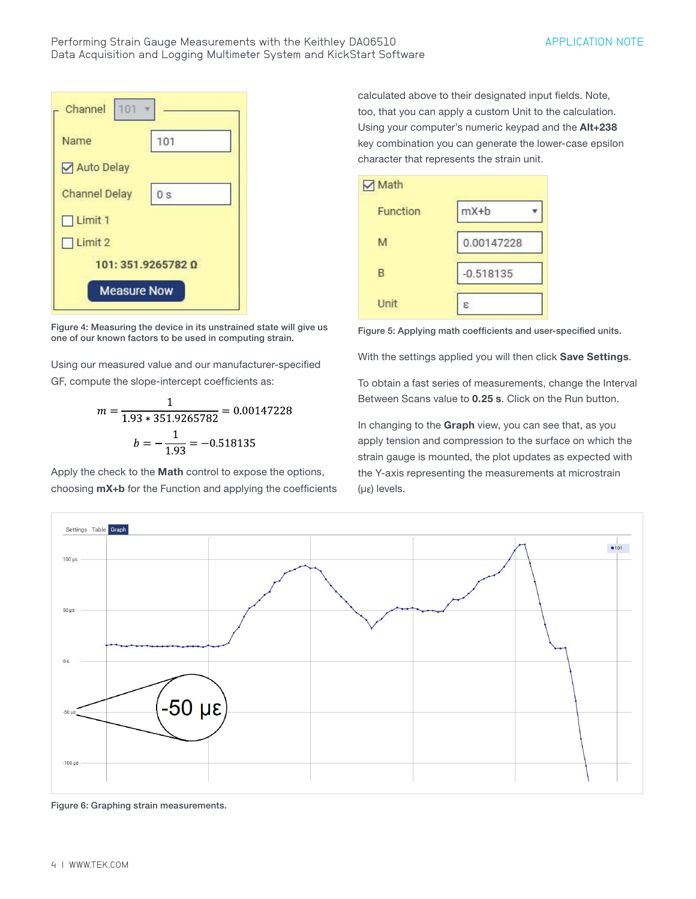

Figure 4: Measuring the device in its unstrained state will give us one of our known factors to be used in computing strain.

Using our measured value and our manufacturer-specified GF, compute the slope-intercept coefficients as:

$$
m = \frac{1}{1.93 \times 351.9265782} = 0.00147228
$$

$$
b = -\frac{1}{1.93} = -0.518135
$$

Apply the check to the Math control to expose the options, choosing  $mX+b$  for the Function and applying the coefficients calculated above to their designated input fields. Note, too, that you can apply a custom Unit to the calculation. Using your computer's numeric keypad and the Alt+238 key combination you can generate the lower-case epsilon character that represents the strain unit.



Figure 5: Applying math coefficients and user-specified units.

With the settings applied you will then click Save Settings.

To obtain a fast series of measurements, change the Interval Between Scans value to 0.25 s. Click on the Run button.

In changing to the Graph view, you can see that, as you apply tension and compression to the surface on which the strain gauge is mounted, the plot updates as expected with the Y-axis representing the measurements at microstrain  $(µ<sub>E</sub>)$  levels.



Figure 6: Graphing strain measurements.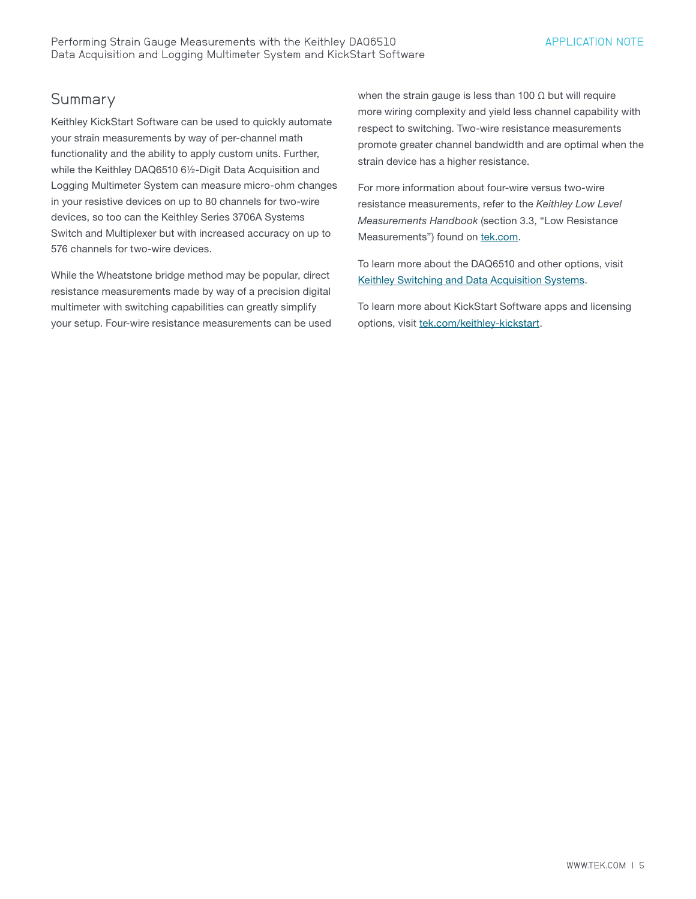#### **Summary**

Keithley KickStart Software can be used to quickly automate your strain measurements by way of per-channel math functionality and the ability to apply custom units. Further, while the Keithley DAQ6510 6½-Digit Data Acquisition and Logging Multimeter System can measure micro-ohm changes in your resistive devices on up to 80 channels for two-wire devices, so too can the Keithley Series 3706A Systems Switch and Multiplexer but with increased accuracy on up to 576 channels for two-wire devices.

While the Wheatstone bridge method may be popular, direct resistance measurements made by way of a precision digital multimeter with switching capabilities can greatly simplify your setup. Four-wire resistance measurements can be used when the strain gauge is less than 100  $\Omega$  but will require more wiring complexity and yield less channel capability with respect to switching. Two-wire resistance measurements promote greater channel bandwidth and are optimal when the strain device has a higher resistance.

For more information about four-wire versus two-wire resistance measurements, refer to the *Keithley Low Level Measurements Handbook* (section 3.3, "Low Resistance Measurements") found on [tek.com.](http://www.tek.com)

To learn more about the DAQ6510 and other options, visit [Keithley Switching and Data Acquisition Systems](https://www.tek.com/en/products/keithley/switching-and-data-acquisition-systems).

To learn more about KickStart Software apps and licensing options, visit [tek.com/keithley-kickstart.](https://www.tek.com/en/products/keithley/keithley-control-software-bench-instruments/kickstart)